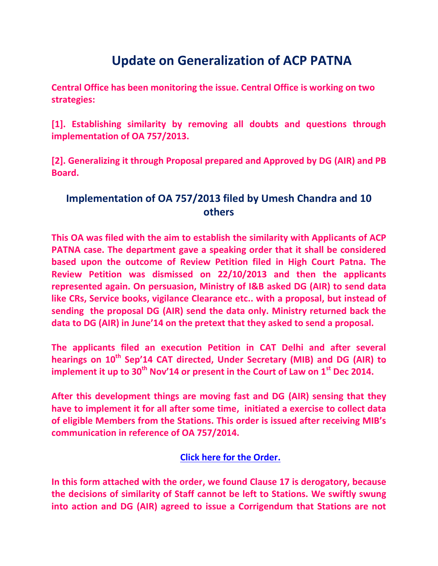## **Update on Generalization of ACP PATNA**

**Central Office has been monitoring the issue. Central Office is working on two strategies:**

**[1]. Establishing similarity by removing all doubts and questions through implementation of OA 757/2013.** 

**[2]. Generalizing it through Proposal prepared and Approved by DG (AIR) and PB Board.**

## **Implementation of OA 757/2013 filed by Umesh Chandra and 10 others**

**This OA was filed with the aim to establish the similarity with Applicants of ACP PATNA case. The department gave a speaking order that it shall be considered based upon the outcome of Review Petition filed in High Court Patna. The Review Petition was dismissed on 22/10/2013 and then the applicants represented again. On persuasion, Ministry of I&B asked DG (AIR) to send data like CRs, Service books, vigilance Clearance etc.. with a proposal, but instead of sending the proposal DG (AIR) send the data only. Ministry returned back the data to DG (AIR) in June'14 on the pretext that they asked to send a proposal.**

**The applicants filed an execution Petition in CAT Delhi and after several hearings on 10th Sep'14 CAT directed, Under Secretary (MIB) and DG (AIR) to implement it up to 30th Nov'14 or present in the Court of Law on 1st Dec 2014.**

**After this development things are moving fast and DG (AIR) sensing that they have to implement it for all after some time, initiated a exercise to collect data of eligible Members from the Stations. This order is issued after receiving MIB's communication in reference of OA 757/2014.**

## **[Click here for the Order.](http://arteeindia.org/central/2014/IMPLEMENTATIONOFACP.pdf)**

**In this form attached with the order, we found Clause 17 is derogatory, because the decisions of similarity of Staff cannot be left to Stations. We swiftly swung into action and DG (AIR) agreed to issue a Corrigendum that Stations are not**